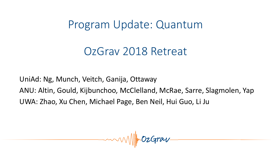Program Update: Quantum

# OzGrav 2018 Retreat

UniAd: Ng, Munch, Veitch, Ganija, Ottaway ANU: Altin, Gould, Kijbunchoo, McClelland, McRae, Sarre, Slagmolen, Yap UWA: Zhao, Xu Chen, Michael Page, Ben Neil, Hui Guo, Li Ju

 $-mmNNM/mOzGraw$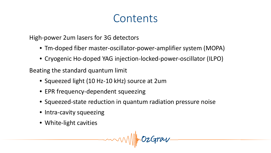# **Contents**

High-power 2um lasers for 3G detectors

- Tm-doped fiber master-oscillator-power-amplifier system (MOPA)
- Cryogenic Ho-doped YAG injection-locked-power-oscillator (ILPO)

Beating the standard quantum limit

- Squeezed light (10 Hz-10 kHz) source at 2um
- EPR frequency-dependent squeezing
- Squeezed-state reduction in quantum radiation pressure noise
- Intra-cavity squeezing
- White-light cavities

 $-mmvW\$ mOzGrav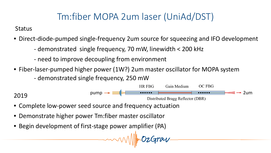## Tm:fiber MOPA 2um laser (UniAd/DST)

**Status** 

- Direct-diode-pumped single-frequency 2um source for squeezing and IFO development
	- demonstrated single frequency, 70 mW, linewidth < 200 kHz
	- need to improve decoupling from environment
- Fiber-laser-pumped higher power (1W?) 2um master oscillator for MOPA system
	- demonstrated single frequency, 250 mW



- Complete low-power seed source and frequency actuation
- Demonstrate higher power Tm:fiber master oscillator
- Begin development of first-stage power amplifier (PA)

-mondo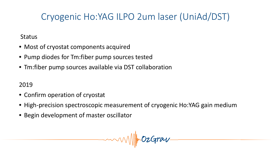## Cryogenic Ho:YAG ILPO 2um laser (UniAd/DST)

#### **Status**

- Most of cryostat components acquired
- Pump diodes for Tm:fiber pump sources tested
- Tm:fiber pump sources available via DST collaboration

- Confirm operation of cryostat
- High-precision spectroscopic measurement of cryogenic Ho:YAG gain medium
- Begin development of master oscillator

 $-mmNNMmOzGraw$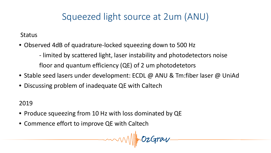#### Squeezed light source at 2um (ANU)

**Status** 

• Observed 4dB of quadrature-locked squeezing down to 500 Hz

- limited by scattered light, laser instability and photodetectors noise floor and quantum efficiency (QE) of 2 um photodetetors

- Stable seed lasers under development: ECDL @ ANU & Tm:fiber laser @ UniAd
- Discussing problem of inadequate QE with Caltech

2019

- Produce squeezing from 10 Hz with loss dominated by QE
- Commence effort to improve QE with Caltech

 $-mwvW/m0zGraw$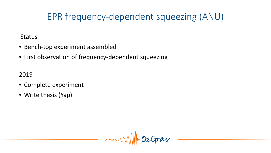### EPR frequency-dependent squeezing (ANU)

#### **Status**

- Bench-top experiment assembled
- First observation of frequency-dependent squeezing

- Complete experiment
- Write thesis (Yap)

 $-mmNNMmOzGrav$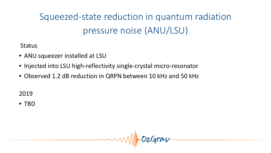Squeezed-state reduction in quantum radiation pressure noise (ANU/LSU)

**Status** 

- ANU squeezer installed at LSU
- Injected into LSU high-reflectivity single-crystal micro-resonator
- Observed 1.2 dB reduction in QRPN between 10 kHz and 50 kHz

2019

• TBD

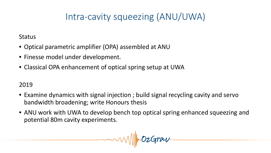## Intra-cavity squeezing (ANU/UWA)

**Status** 

- Optical parametric amplifier (OPA) assembled at ANU
- Finesse model under development.
- Classical OPA enhancement of optical spring setup at UWA

- Examine dynamics with signal injection ; build signal recycling cavity and servo bandwidth broadening; write Honours thesis
- ANU work with UWA to develop bench top optical spring enhanced squeezing and potential 80m cavity experiments.

 $-mmNNM/mOzGraw$